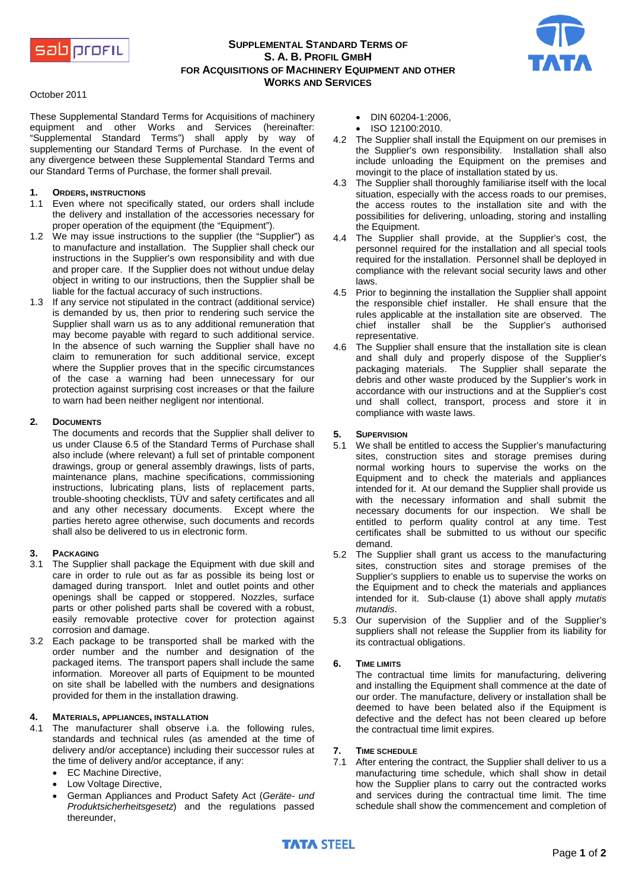

# **SUPPLEMENTAL STANDARD TERMS OF S. A. B. PROFIL GMBH FOR ACQUISITIONS OF MACHINERY EQUIPMENT AND OTHER WORKS AND SERVICES**



#### October 2011

These Supplemental Standard Terms for Acquisitions of machinery equipment and other Works and Services (hereinafter: "Supplemental Standard Terms") shall apply by way of supplementing our Standard Terms of Purchase. In the event of any divergence between these Supplemental Standard Terms and our Standard Terms of Purchase, the former shall prevail.

### **1. ORDERS, INSTRUCTIONS**

- 1.1 Even where not specifically stated, our orders shall include the delivery and installation of the accessories necessary for proper operation of the equipment (the "Equipment").
- 1.2 We may issue instructions to the supplier (the "Supplier") as to manufacture and installation. The Supplier shall check our instructions in the Supplier's own responsibility and with due and proper care. If the Supplier does not without undue delay object in writing to our instructions, then the Supplier shall be liable for the factual accuracy of such instructions.
- 1.3 If any service not stipulated in the contract (additional service) is demanded by us, then prior to rendering such service the Supplier shall warn us as to any additional remuneration that may become payable with regard to such additional service. In the absence of such warning the Supplier shall have no claim to remuneration for such additional service, except where the Supplier proves that in the specific circumstances of the case a warning had been unnecessary for our protection against surprising cost increases or that the failure to warn had been neither negligent nor intentional.

## **2. DOCUMENTS**

The documents and records that the Supplier shall deliver to us under Clause 6.5 of the Standard Terms of Purchase shall also include (where relevant) a full set of printable component drawings, group or general assembly drawings, lists of parts, maintenance plans, machine specifications, commissioning instructions, lubricating plans, lists of replacement parts, trouble-shooting checklists, TÜV and safety certificates and all and any other necessary documents. Except where the parties hereto agree otherwise, such documents and records shall also be delivered to us in electronic form.

## **3. PACKAGING**

- 3.1 The Supplier shall package the Equipment with due skill and care in order to rule out as far as possible its being lost or damaged during transport. Inlet and outlet points and other openings shall be capped or stoppered. Nozzles, surface parts or other polished parts shall be covered with a robust, easily removable protective cover for protection against corrosion and damage.
- 3.2 Each package to be transported shall be marked with the order number and the number and designation of the packaged items. The transport papers shall include the same information. Moreover all parts of Equipment to be mounted on site shall be labelled with the numbers and designations provided for them in the installation drawing.

# **4. MATERIALS, APPLIANCES, INSTALLATION**

- The manufacturer shall observe i.a. the following rules, standards and technical rules (as amended at the time of delivery and/or acceptance) including their successor rules at the time of delivery and/or acceptance, if any:
	- EC Machine Directive,
	- Low Voltage Directive,
	- German Appliances and Product Safety Act (*Geräte- und Produktsicherheitsgesetz*) and the regulations passed thereunder,
- DIN 60204-1:2006,
- ISO 12100:2010.
- 4.2 The Supplier shall install the Equipment on our premises in the Supplier's own responsibility. Installation shall also include unloading the Equipment on the premises and movingit to the place of installation stated by us.
- 4.3 The Supplier shall thoroughly familiarise itself with the local situation, especially with the access roads to our premises, the access routes to the installation site and with the possibilities for delivering, unloading, storing and installing the Equipment.
- 4.4 The Supplier shall provide, at the Supplier's cost, the personnel required for the installation and all special tools required for the installation. Personnel shall be deployed in compliance with the relevant social security laws and other laws.
- 4.5 Prior to beginning the installation the Supplier shall appoint the responsible chief installer. He shall ensure that the rules applicable at the installation site are observed. The chief installer shall be the Supplier's authorised representative.
- 4.6 The Supplier shall ensure that the installation site is clean and shall duly and properly dispose of the Supplier's packaging materials. The Supplier shall separate the debris and other waste produced by the Supplier's work in accordance with our instructions and at the Supplier's cost und shall collect, transport, process and store it in compliance with waste laws.

## **5. SUPERVISION**

- 5.1 We shall be entitled to access the Supplier's manufacturing sites, construction sites and storage premises during normal working hours to supervise the works on the Equipment and to check the materials and appliances intended for it. At our demand the Supplier shall provide us with the necessary information and shall submit the necessary documents for our inspection. We shall be entitled to perform quality control at any time. Test certificates shall be submitted to us without our specific demand.
- 5.2 The Supplier shall grant us access to the manufacturing sites, construction sites and storage premises of the Supplier's suppliers to enable us to supervise the works on the Equipment and to check the materials and appliances intended for it. Sub-clause (1) above shall apply *mutatis mutandis*.
- 5.3 Our supervision of the Supplier and of the Supplier's suppliers shall not release the Supplier from its liability for its contractual obligations.

#### **6. TIME LIMITS**

The contractual time limits for manufacturing, delivering and installing the Equipment shall commence at the date of our order. The manufacture, delivery or installation shall be deemed to have been belated also if the Equipment is defective and the defect has not been cleared up before the contractual time limit expires.

#### **7. TIME SCHEDULE**

7.1 After entering the contract, the Supplier shall deliver to us a manufacturing time schedule, which shall show in detail how the Supplier plans to carry out the contracted works and services during the contractual time limit. The time schedule shall show the commencement and completion of